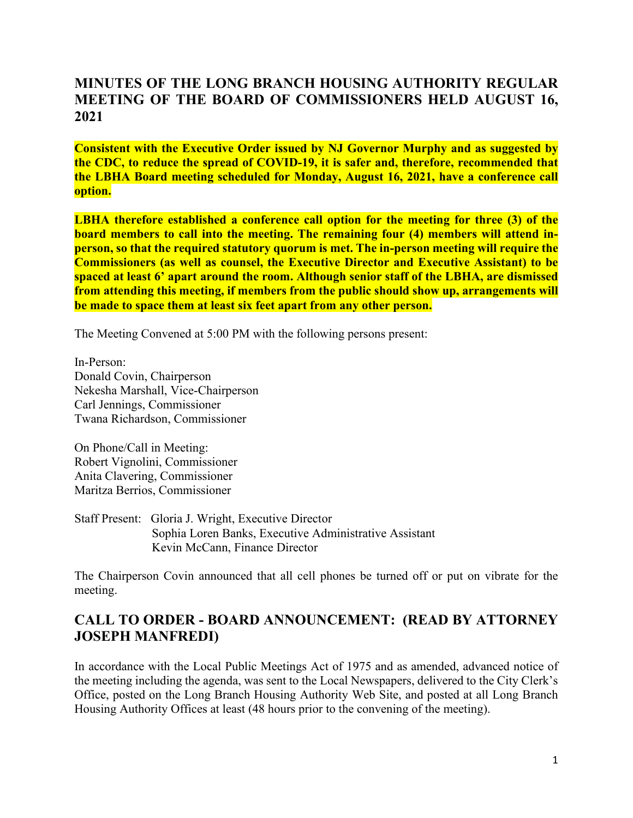# **MINUTES OF THE LONG BRANCH HOUSING AUTHORITY REGULAR MEETING OF THE BOARD OF COMMISSIONERS HELD AUGUST 16, 2021**

**Consistent with the Executive Order issued by NJ Governor Murphy and as suggested by the CDC, to reduce the spread of COVID-19, it is safer and, therefore, recommended that the LBHA Board meeting scheduled for Monday, August 16, 2021, have a conference call option.**

**LBHA therefore established a conference call option for the meeting for three (3) of the board members to call into the meeting. The remaining four (4) members will attend inperson, so that the required statutory quorum is met. The in-person meeting will require the Commissioners (as well as counsel, the Executive Director and Executive Assistant) to be spaced at least 6' apart around the room. Although senior staff of the LBHA, are dismissed from attending this meeting, if members from the public should show up, arrangements will be made to space them at least six feet apart from any other person.**

The Meeting Convened at 5:00 PM with the following persons present:

In-Person: Donald Covin, Chairperson Nekesha Marshall, Vice-Chairperson Carl Jennings, Commissioner Twana Richardson, Commissioner

On Phone/Call in Meeting: Robert Vignolini, Commissioner Anita Clavering, Commissioner Maritza Berrios, Commissioner

Staff Present: Gloria J. Wright, Executive Director Sophia Loren Banks, Executive Administrative Assistant Kevin McCann, Finance Director

The Chairperson Covin announced that all cell phones be turned off or put on vibrate for the meeting.

# **CALL TO ORDER - BOARD ANNOUNCEMENT: (READ BY ATTORNEY JOSEPH MANFREDI)**

In accordance with the Local Public Meetings Act of 1975 and as amended, advanced notice of the meeting including the agenda, was sent to the Local Newspapers, delivered to the City Clerk's Office, posted on the Long Branch Housing Authority Web Site, and posted at all Long Branch Housing Authority Offices at least (48 hours prior to the convening of the meeting).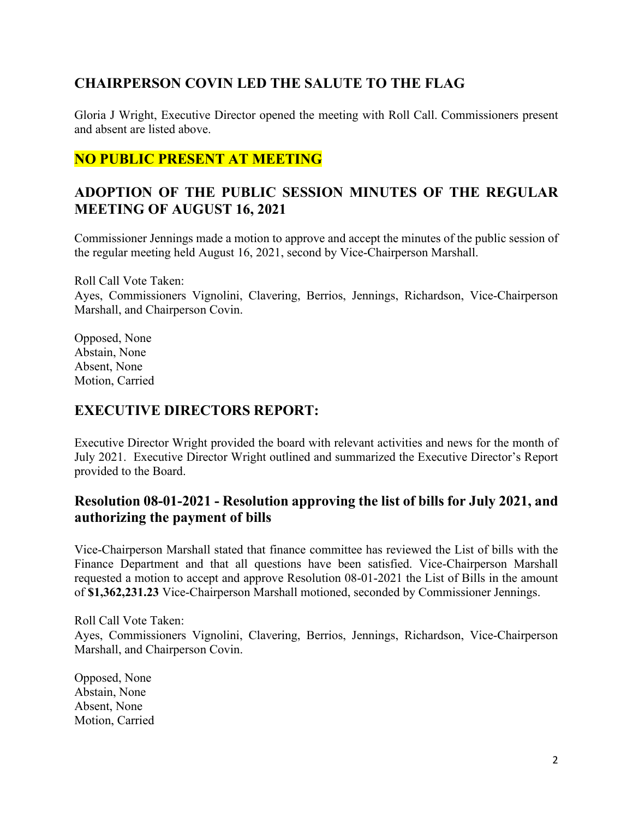# **CHAIRPERSON COVIN LED THE SALUTE TO THE FLAG**

Gloria J Wright, Executive Director opened the meeting with Roll Call. Commissioners present and absent are listed above.

# **NO PUBLIC PRESENT AT MEETING**

# **ADOPTION OF THE PUBLIC SESSION MINUTES OF THE REGULAR MEETING OF AUGUST 16, 2021**

Commissioner Jennings made a motion to approve and accept the minutes of the public session of the regular meeting held August 16, 2021, second by Vice-Chairperson Marshall.

Roll Call Vote Taken:

Ayes, Commissioners Vignolini, Clavering, Berrios, Jennings, Richardson, Vice-Chairperson Marshall, and Chairperson Covin.

Opposed, None Abstain, None Absent, None Motion, Carried

#### **EXECUTIVE DIRECTORS REPORT:**

Executive Director Wright provided the board with relevant activities and news for the month of July 2021. Executive Director Wright outlined and summarized the Executive Director's Report provided to the Board.

### **Resolution 08-01-2021 - Resolution approving the list of bills for July 2021, and authorizing the payment of bills**

Vice-Chairperson Marshall stated that finance committee has reviewed the List of bills with the Finance Department and that all questions have been satisfied. Vice-Chairperson Marshall requested a motion to accept and approve Resolution 08-01-2021 the List of Bills in the amount of **\$1,362,231.23** Vice-Chairperson Marshall motioned, seconded by Commissioner Jennings.

Roll Call Vote Taken: Ayes, Commissioners Vignolini, Clavering, Berrios, Jennings, Richardson, Vice-Chairperson Marshall, and Chairperson Covin.

Opposed, None Abstain, None Absent, None Motion, Carried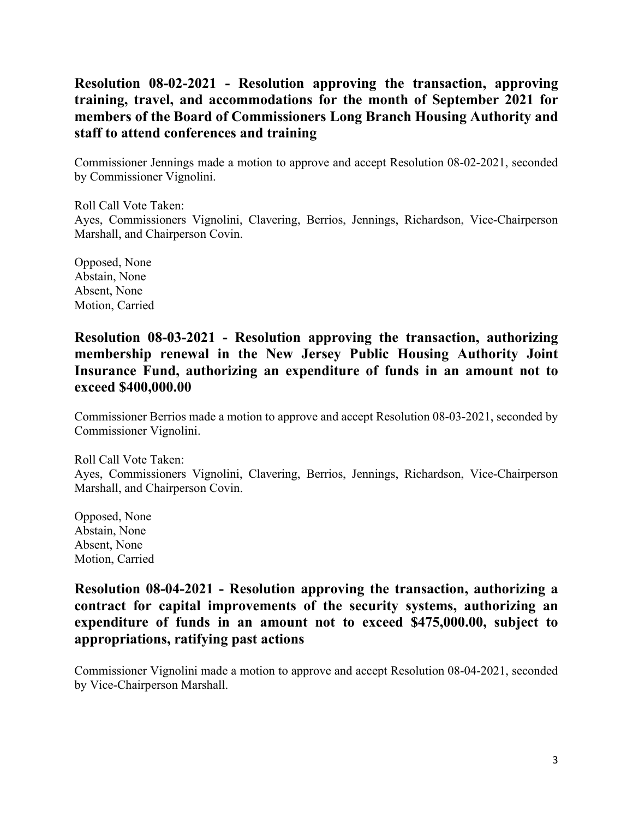# **Resolution 08-02-2021 - Resolution approving the transaction, approving training, travel, and accommodations for the month of September 2021 for members of the Board of Commissioners Long Branch Housing Authority and staff to attend conferences and training**

Commissioner Jennings made a motion to approve and accept Resolution 08-02-2021, seconded by Commissioner Vignolini.

Roll Call Vote Taken: Ayes, Commissioners Vignolini, Clavering, Berrios, Jennings, Richardson, Vice-Chairperson Marshall, and Chairperson Covin.

Opposed, None Abstain, None Absent, None Motion, Carried

#### **Resolution 08-03-2021 - Resolution approving the transaction, authorizing membership renewal in the New Jersey Public Housing Authority Joint Insurance Fund, authorizing an expenditure of funds in an amount not to exceed \$400,000.00**

Commissioner Berrios made a motion to approve and accept Resolution 08-03-2021, seconded by Commissioner Vignolini.

Roll Call Vote Taken: Ayes, Commissioners Vignolini, Clavering, Berrios, Jennings, Richardson, Vice-Chairperson Marshall, and Chairperson Covin.

Opposed, None Abstain, None Absent, None Motion, Carried

## **Resolution 08-04-2021 - Resolution approving the transaction, authorizing a contract for capital improvements of the security systems, authorizing an expenditure of funds in an amount not to exceed \$475,000.00, subject to appropriations, ratifying past actions**

Commissioner Vignolini made a motion to approve and accept Resolution 08-04-2021, seconded by Vice-Chairperson Marshall.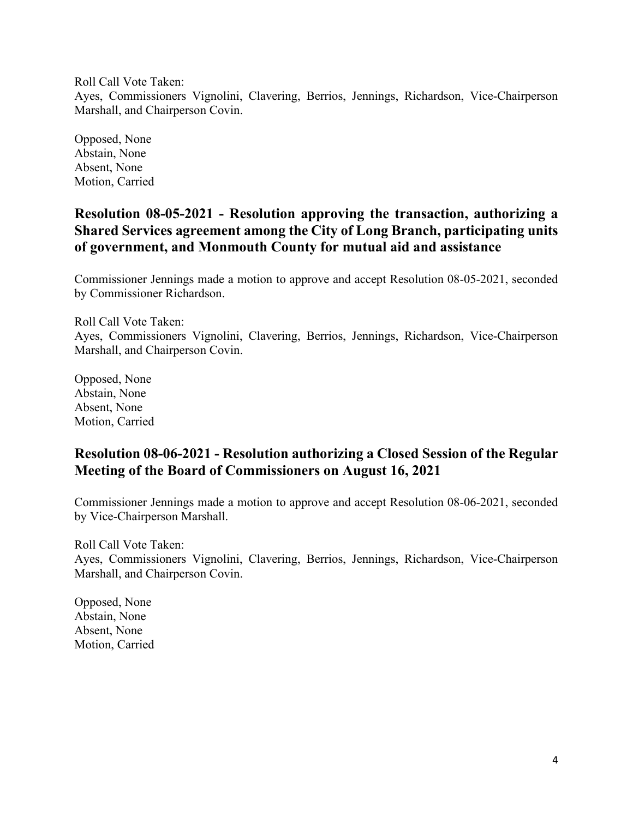Roll Call Vote Taken:

Ayes, Commissioners Vignolini, Clavering, Berrios, Jennings, Richardson, Vice-Chairperson Marshall, and Chairperson Covin.

Opposed, None Abstain, None Absent, None Motion, Carried

# **Resolution 08-05-2021 - Resolution approving the transaction, authorizing a Shared Services agreement among the City of Long Branch, participating units of government, and Monmouth County for mutual aid and assistance**

Commissioner Jennings made a motion to approve and accept Resolution 08-05-2021, seconded by Commissioner Richardson.

Roll Call Vote Taken: Ayes, Commissioners Vignolini, Clavering, Berrios, Jennings, Richardson, Vice-Chairperson Marshall, and Chairperson Covin.

Opposed, None Abstain, None Absent, None Motion, Carried

# **Resolution 08-06-2021 - Resolution authorizing a Closed Session of the Regular Meeting of the Board of Commissioners on August 16, 2021**

Commissioner Jennings made a motion to approve and accept Resolution 08-06-2021, seconded by Vice-Chairperson Marshall.

Roll Call Vote Taken: Ayes, Commissioners Vignolini, Clavering, Berrios, Jennings, Richardson, Vice-Chairperson Marshall, and Chairperson Covin.

Opposed, None Abstain, None Absent, None Motion, Carried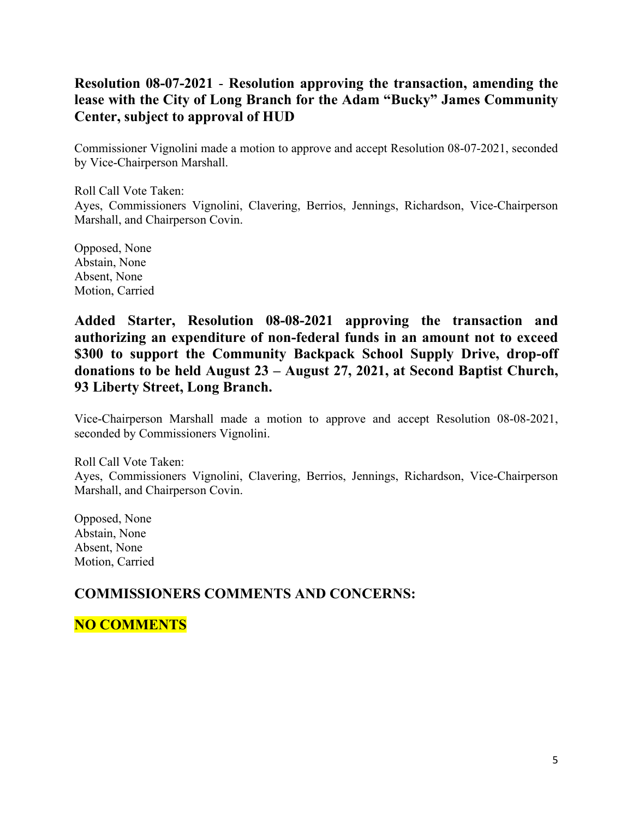# **Resolution 08-07-2021** - **Resolution approving the transaction, amending the lease with the City of Long Branch for the Adam "Bucky" James Community Center, subject to approval of HUD**

Commissioner Vignolini made a motion to approve and accept Resolution 08-07-2021, seconded by Vice-Chairperson Marshall.

Roll Call Vote Taken: Ayes, Commissioners Vignolini, Clavering, Berrios, Jennings, Richardson, Vice-Chairperson Marshall, and Chairperson Covin.

Opposed, None Abstain, None Absent, None Motion, Carried

**Added Starter, Resolution 08-08-2021 approving the transaction and authorizing an expenditure of non-federal funds in an amount not to exceed \$300 to support the Community Backpack School Supply Drive, drop-off donations to be held August 23 – August 27, 2021, at Second Baptist Church, 93 Liberty Street, Long Branch.**

Vice-Chairperson Marshall made a motion to approve and accept Resolution 08-08-2021, seconded by Commissioners Vignolini.

Roll Call Vote Taken: Ayes, Commissioners Vignolini, Clavering, Berrios, Jennings, Richardson, Vice-Chairperson Marshall, and Chairperson Covin.

Opposed, None Abstain, None Absent, None Motion, Carried

#### **COMMISSIONERS COMMENTS AND CONCERNS:**

**NO COMMENTS**